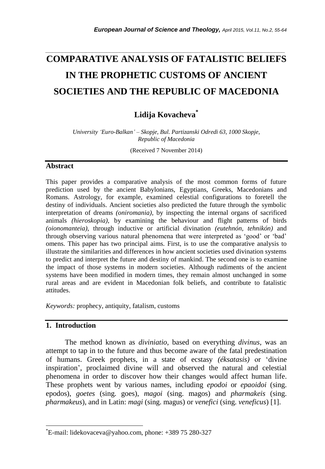# **COMPARATIVE ANALYSIS OF FATALISTIC BELIEFS IN THE PROPHETIC CUSTOMS OF ANCIENT SOCIETIES AND THE REPUBLIC OF MACEDONIA**

*\_\_\_\_\_\_\_\_\_\_\_\_\_\_\_\_\_\_\_\_\_\_\_\_\_\_\_\_\_\_\_\_\_\_\_\_\_\_\_\_\_\_\_\_\_\_\_\_\_\_\_\_\_\_\_\_\_\_\_\_\_\_\_\_\_\_\_\_\_\_\_*

# **Lidija Kovacheva\***

*University 'Euro-Balkan' – Skopje, Bul. Partizanski Odredi 63, 1000 Skopje, Republic of Macedonia*

(Received 7 November 2014)

#### **Abstract**

This paper provides a comparative analysis of the most common forms of future prediction used by the ancient Babylonians, Egyptians, Greeks, Macedonians and Romans. Astrology, for example, examined celestial configurations to foretell the destiny of individuals. Ancient societies also predicted the future through the symbolic interpretation of dreams *(oniromania)*, by inspecting the internal organs of sacrificed animals *(hieroskopia)*, by examining the behaviour and flight patterns of birds *(oionomanteia)*, through inductive or artificial divination *(eutehnón, tehnikón)* and through observing various natural phenomena that were interpreted as "good" or "bad" omens. This paper has two principal aims. First, is to use the comparative analysis to illustrate the similarities and differences in how ancient societies used divination systems to predict and interpret the future and destiny of mankind. The second one is to examine the impact of those systems in modern societies. Although rudiments of the ancient systems have been modified in modern times, they remain almost unchanged in some rural areas and are evident in Macedonian folk beliefs, and contribute to fatalistic attitudes.

*Keywords:* prophecy, antiquity, fatalism, customs

# **1. Introduction**

l

The method known as *diviniatio*, based on everything *divinus*, was an attempt to tap in to the future and thus become aware of the fatal predestination of humans. Greek prophets, in a state of ecstasy *(éksatasis)* or "divine inspiration", proclaimed divine will and observed the natural and celestial phenomena in order to discover how their changes would affect human life. These prophets went by various names, including *epodoi* or *epaoidoi* (sing. epodos), *goetes* (sing. goes), *magoi* (sing. magos) and *pharmakeis* (sing. *pharmakeus*), and in Latin: *magi* (sing. magus) or *venefici* (sing. *veneficus*) [1].

<sup>\*</sup>E-mail: lidekovaceva@yahoo.com, phone: +389 75 280-327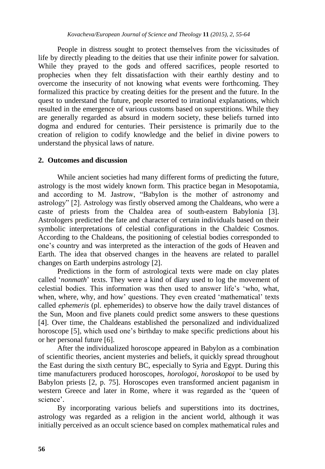People in distress sought to protect themselves from the vicissitudes of life by directly pleading to the deities that use their infinite power for salvation. While they prayed to the gods and offered sacrifices, people resorted to prophecies when they felt dissatisfaction with their earthly destiny and to overcome the insecurity of not knowing what events were forthcoming. They formalized this practice by creating deities for the present and the future. In the quest to understand the future, people resorted to irrational explanations, which resulted in the emergence of various customs based on superstitions. While they are generally regarded as absurd in modern society, these beliefs turned into dogma and endured for centuries. Their persistence is primarily due to the creation of religion to codify knowledge and the belief in divine powers to understand the physical laws of nature.

#### **2. Outcomes and discussion**

While ancient societies had many different forms of predicting the future, astrology is the most widely known form. This practice began in Mesopotamia, and according to M. Jastrow, "Babylon is the mother of astronomy and astrology" [2]. Astrology was firstly observed among the Chaldeans, who were a caste of priests from the Chaldea area of south-eastern Babylonia [3]. Astrologers predicted the fate and character of certain individuals based on their symbolic interpretations of celestial configurations in the Chaldeic Cosmos. According to the Chaldeans, the positioning of celestial bodies corresponded to one"s country and was interpreted as the interaction of the gods of Heaven and Earth. The idea that observed changes in the heavens are related to parallel changes on Earth underpins astrology [2].

Predictions in the form of astrological texts were made on clay plates called 'nonmath' texts. They were a kind of diary used to log the movement of celestial bodies. This information was then used to answer life"s "who, what, when, where, why, and how' questions. They even created 'mathematical' texts called *ephemeris* (pl. ephemerides) to observe how the daily travel distances of the Sun, Moon and five planets could predict some answers to these questions [4]. Over time, the Chaldeans established the personalized and individualized horoscope [5], which used one"s birthday to make specific predictions about his or her personal future [6].

After the individualized horoscope appeared in Babylon as a combination of scientific theories, ancient mysteries and beliefs, it quickly spread throughout the East during the sixth century BC, especially to Syria and Egypt. During this time manufacturers produced horoscopes, *horologoi*, *horoskopoi* to be used by Babylon priests [2, p. 75]. Horoscopes even transformed ancient paganism in western Greece and later in Rome, where it was regarded as the "queen of science'.

By incorporating various beliefs and superstitions into its doctrines, astrology was regarded as a religion in the ancient world, although it was initially perceived as an occult science based on complex mathematical rules and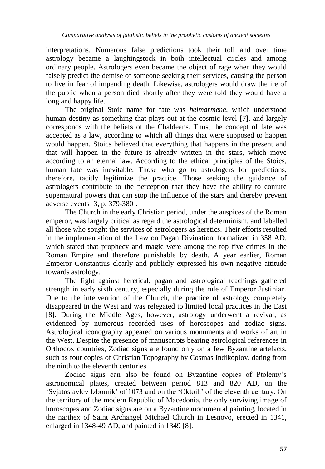interpretations. Numerous false predictions took their toll and over time astrology became a laughingstock in both intellectual circles and among ordinary people. Astrologers even became the object of rage when they would falsely predict the demise of someone seeking their services, causing the person to live in fear of impending death. Likewise, astrologers would draw the ire of the public when a person died shortly after they were told they would have a long and happy life.

The original Stoic name for fate was *heimarmene*, which understood human destiny as something that plays out at the cosmic level [7], and largely corresponds with the beliefs of the Chaldeans. Thus, the concept of fate was accepted as a law, according to which all things that were supposed to happen would happen. Stoics believed that everything that happens in the present and that will happen in the future is already written in the stars, which move according to an eternal law. According to the ethical principles of the Stoics, human fate was inevitable. Those who go to astrologers for predictions, therefore, tacitly legitimize the practice. Those seeking the guidance of astrologers contribute to the perception that they have the ability to conjure supernatural powers that can stop the influence of the stars and thereby prevent adverse events [3, p. 379-380].

The Church in the early Christian period, under the auspices of the Roman emperor, was largely critical as regard the astrological determinism, and labelled all those who sought the services of astrologers as heretics. Their efforts resulted in the implementation of the Law on Pagan Divination, formalized in 358 AD, which stated that prophecy and magic were among the top five crimes in the Roman Empire and therefore punishable by death. A year earlier, Roman Emperor Constantius clearly and publicly expressed his own negative attitude towards astrology.

The fight against heretical, pagan and astrological teachings gathered strength in early sixth century, especially during the rule of Emperor Justinian. Due to the intervention of the Church, the practice of astrology completely disappeared in the West and was relegated to limited local practices in the East [8]. During the Middle Ages, however, astrology underwent a revival, as evidenced by numerous recorded uses of horoscopes and zodiac signs. Astrological iconography appeared on various monuments and works of art in the West. Despite the presence of manuscripts bearing astrological references in Orthodox countries, Zodiac signs are found only on a few Byzantine artefacts, such as four copies of Christian Topography by Cosmas Indikoplov, dating from the ninth to the eleventh centuries.

Zodiac signs can also be found on Byzantine copies of Ptolemy"s astronomical plates, created between period 813 and 820 AD, on the "Svjatoslavlev Izbornik" of 1073 and on the "Oktoih" of the eleventh century. On the territory of the modern Republic of Macedonia, the only surviving image of horoscopes and Zodiac signs are on a Byzantine monumental painting, located in the narthex of Saint Archangel Michael Church in Lesnovo, erected in 1341, enlarged in 1348-49 AD, and painted in 1349 [8].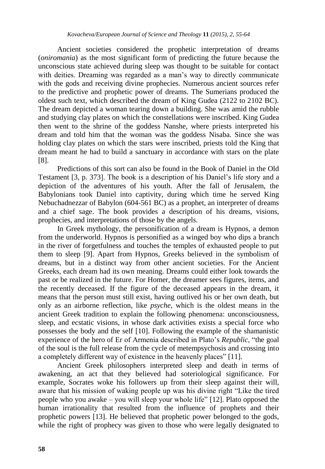Ancient societies considered the prophetic interpretation of dreams (*oniromania*) as the most significant form of predicting the future because the unconscious state achieved during sleep was thought to be suitable for contact with deities. Dreaming was regarded as a man's way to directly communicate with the gods and receiving divine prophecies. Numerous ancient sources refer to the predictive and prophetic power of dreams. The Sumerians produced the oldest such text, which described the dream of King Gudea (2122 to 2102 BC). The dream depicted a woman tearing down a building. She was amid the rubble and studying clay plates on which the constellations were inscribed. King Gudea then went to the shrine of the goddess Nanshe, where priests interpreted his dream and told him that the woman was the goddess Nisaba. Since she was holding clay plates on which the stars were inscribed, priests told the King that dream meant he had to build a sanctuary in accordance with stars on the plate [8].

Predictions of this sort can also be found in the Book of Daniel in the Old Testament [3, p. 373]. The book is a description of his Daniel"s life story and a depiction of the adventures of his youth. After the fall of Jerusalem, the Babylonians took Daniel into captivity, during which time he served King Nebuchadnezzar of Babylon (604-561 BC) as a prophet, an interpreter of dreams and a chief sage. The book provides a description of his dreams, visions, prophecies, and interpretations of those by the angels.

In Greek mythology, the personification of a dream is Hypnos, a demon from the underworld. Hypnos is personified as a winged boy who dips a branch in the river of forgetfulness and touches the temples of exhausted people to put them to sleep [9]. Apart from Hypnos, Greeks believed in the symbolism of dreams, but in a distinct way from other ancient societies. For the Ancient Greeks, each dream had its own meaning. Dreams could either look towards the past or be realized in the future. For Homer, the dreamer sees figures, items, and the recently deceased. If the figure of the deceased appears in the dream, it means that the person must still exist, having outlived his or her own death, but only as an airborne reflection, like *psyche*, which is the oldest means in the ancient Greek tradition to explain the following phenomena: unconsciousness, sleep, and ecstatic visions, in whose dark activities exists a special force who possesses the body and the self [10]. Following the example of the shamanistic experience of the hero of Er of Armenia described in Plato"s *Republic*, "the goal of the soul is the full release from the cycle of metempsychosis and crossing into a completely different way of existence in the heavenly places" [11].

Ancient Greek philosophers interpreted sleep and death in terms of awakening, an act that they believed had soteriological significance. For example, Socrates woke his followers up from their sleep against their will, aware that his mission of waking people up was his divine right "Like the tired people who you awake – you will sleep your whole life" [12]. Plato opposed the human irrationality that resulted from the influence of prophets and their prophetic powers [13]. He believed that prophetic power belonged to the gods, while the right of prophecy was given to those who were legally designated to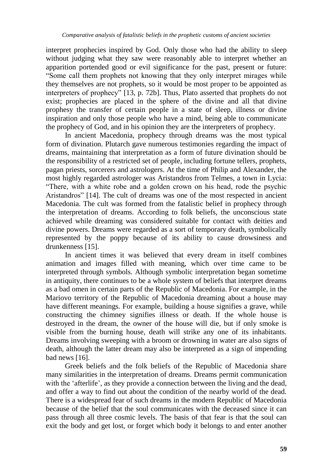interpret prophecies inspired by God. Only those who had the ability to sleep without judging what they saw were reasonably able to interpret whether an apparition portended good or evil significance for the past, present or future: "Some call them prophets not knowing that they only interpret mirages while they themselves are not prophets, so it would be most proper to be appointed as interpreters of prophecy" [13, p. 72b]. Thus, Plato asserted that prophets do not exist; prophecies are placed in the sphere of the divine and all that divine prophesy the transfer of certain people in a state of sleep, illness or divine inspiration and only those people who have a mind, being able to communicate the prophecy of God, and in his opinion they are the interpreters of prophecy.

In ancient Macedonia, prophecy through dreams was the most typical form of divination. Plutarch gave numerous testimonies regarding the impact of dreams, maintaining that interpretation as a form of future divination should be the responsibility of a restricted set of people, including fortune tellers, prophets, pagan priests, sorcerers and astrologers. At the time of Philip and Alexander, the most highly regarded astrologer was Aristandros from Telmes, a town in Lycia: "There, with a white robe and a golden crown on his head, rode the psychic Aristandros" [14]. The cult of dreams was one of the most respected in ancient Macedonia. The cult was formed from the fatalistic belief in prophecy through the interpretation of dreams. According to folk beliefs, the unconscious state achieved while dreaming was considered suitable for contact with deities and divine powers. Dreams were regarded as a sort of temporary death, symbolically represented by the poppy because of its ability to cause drowsiness and drunkenness [15].

In ancient times it was believed that every dream in itself combines animation and images filled with meaning, which over time came to be interpreted through symbols. Although symbolic interpretation began sometime in antiquity, there continues to be a whole system of beliefs that interpret dreams as a bad omen in certain parts of the Republic of Macedonia. For example, in the Mariovo territory of the Republic of Macedonia dreaming about a house may have different meanings. For example, building a house signifies a grave, while constructing the chimney signifies illness or death. If the whole house is destroyed in the dream, the owner of the house will die, but if only smoke is visible from the burning house, death will strike any one of its inhabitants. Dreams involving sweeping with a broom or drowning in water are also signs of death, although the latter dream may also be interpreted as a sign of impending bad news [16].

Greek beliefs and the folk beliefs of the Republic of Macedonia share many similarities in the interpretation of dreams. Dreams permit communication with the 'afterlife', as they provide a connection between the living and the dead, and offer a way to find out about the condition of the nearby world of the dead. There is a widespread fear of such dreams in the modern Republic of Macedonia because of the belief that the soul communicates with the deceased since it can pass through all three cosmic levels. The basis of that fear is that the soul can exit the body and get lost, or forget which body it belongs to and enter another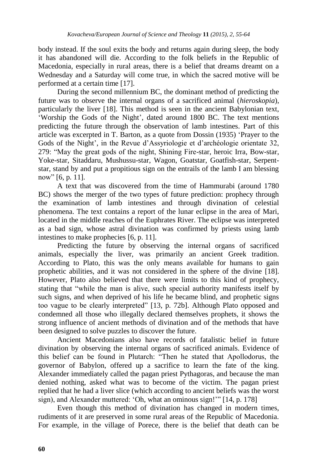body instead. If the soul exits the body and returns again during sleep, the body it has abandoned will die. According to the folk beliefs in the Republic of Macedonia, especially in rural areas, there is a belief that dreams dreamt on a Wednesday and a Saturday will come true, in which the sacred motive will be performed at a certain time [17].

During the second millennium BC, the dominant method of predicting the future was to observe the internal organs of a sacrificed animal (*hieroskopia*), particularly the liver [18]. This method is seen in the ancient Babylonian text, "Worship the Gods of the Night", dated around 1800 BC. The text mentions predicting the future through the observation of lamb intestines. Part of this article was excerpted in T. Barton, as a quote from Dossin (1935) "Prayer to the Gods of the Night', in the Revue d'Assyriologie et d'archéologie orientate 32, 279: "May the great gods of the night, Shining Fire-star, heroic Irra, Bow-star, Yoke-star, Sitaddaru, Mushussu-star, Wagon, Goatstar, Goatfish-star, Serpentstar, stand by and put a propitious sign on the entrails of the lamb I am blessing now" [6, p. 11].

A text that was discovered from the time of Hammurabi (around 1780 BC) shows the merger of the two types of future prediction: prophecy through the examination of lamb intestines and through divination of celestial phenomena. The text contains a report of the lunar eclipse in the area of Mari, located in the middle reaches of the Euphrates River. The eclipse was interpreted as a bad sign, whose astral divination was confirmed by priests using lamb intestines to make prophecies [6, p. 11].

Predicting the future by observing the internal organs of sacrificed animals, especially the liver, was primarily an ancient Greek tradition. According to Plato, this was the only means available for humans to gain prophetic abilities, and it was not considered in the sphere of the divine [18]. However, Plato also believed that there were limits to this kind of prophecy, stating that "while the man is alive, such special authority manifests itself by such signs, and when deprived of his life he became blind, and prophetic signs too vague to be clearly interpreted" [13, p. 72b]. Although Plato opposed and condemned all those who illegally declared themselves prophets, it shows the strong influence of ancient methods of divination and of the methods that have been designed to solve puzzles to discover the future.

Ancient Macedonians also have records of fatalistic belief in future divination by observing the internal organs of sacrificed animals. Evidence of this belief can be found in Plutarch: "Then he stated that Apollodorus, the governor of Babylon, offered up a sacrifice to learn the fate of the king. Alexander immediately called the pagan priest Pythagoras, and because the man denied nothing, asked what was to become of the victim. The pagan priest replied that he had a liver slice (which according to ancient beliefs was the worst sign), and Alexander muttered: "Oh, what an ominous sign!"" [14, p. 178]

Even though this method of divination has changed in modern times, rudiments of it are preserved in some rural areas of the Republic of Macedonia. For example, in the village of Porece, there is the belief that death can be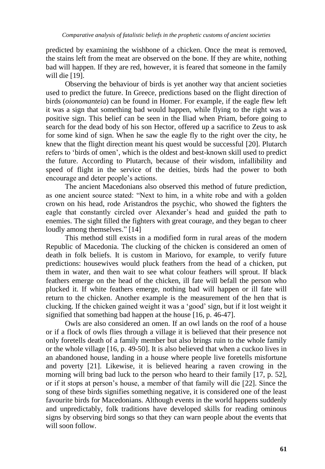predicted by examining the wishbone of a chicken. Once the meat is removed, the stains left from the meat are observed on the bone. If they are white, nothing bad will happen. If they are red, however, it is feared that someone in the family will die [19].

Observing the behaviour of birds is yet another way that ancient societies used to predict the future. In Greece, predictions based on the flight direction of birds (*oionomanteia*) can be found in Homer. For example, if the eagle flew left it was a sign that something bad would happen, while flying to the right was a positive sign. This belief can be seen in the Iliad when Priam, before going to search for the dead body of his son Hector, offered up a sacrifice to Zeus to ask for some kind of sign. When he saw the eagle fly to the right over the city, he knew that the flight direction meant his quest would be successful [20]. Plutarch refers to "birds of omen", which is the oldest and best-known skill used to predict the future. According to Plutarch, because of their wisdom, infallibility and speed of flight in the service of the deities, birds had the power to both encourage and deter people"s actions.

The ancient Macedonians also observed this method of future prediction, as one ancient source stated: "Next to him, in a white robe and with a golden crown on his head, rode Aristandros the psychic, who showed the fighters the eagle that constantly circled over Alexander"s head and guided the path to enemies. The sight filled the fighters with great courage, and they began to cheer loudly among themselves." [14]

This method still exists in a modified form in rural areas of the modern Republic of Macedonia. The clucking of the chicken is considered an omen of death in folk beliefs. It is custom in Mariovo, for example, to verify future predictions: housewives would pluck feathers from the head of a chicken, put them in water, and then wait to see what colour feathers will sprout. If black feathers emerge on the head of the chicken, ill fate will befall the person who plucked it. If white feathers emerge, nothing bad will happen or ill fate will return to the chicken. Another example is the measurement of the hen that is clucking. If the chicken gained weight it was a "good" sign, but if it lost weight it signified that something bad happen at the house [16, p. 46-47].

Owls are also considered an omen. If an owl lands on the roof of a house or if a flock of owls flies through a village it is believed that their presence not only foretells death of a family member but also brings ruin to the whole family or the whole village [16, p. 49-50]. It is also believed that when a cuckoo lives in an abandoned house, landing in a house where people live foretells misfortune and poverty [21]. Likewise, it is believed hearing a raven crowing in the morning will bring bad luck to the person who heard to their family [17, p. 52], or if it stops at person"s house, a member of that family will die [22]. Since the song of these birds signifies something negative, it is considered one of the least favourite birds for Macedonians. Although events in the world happens suddenly and unpredictably, folk traditions have developed skills for reading ominous signs by observing bird songs so that they can warn people about the events that will soon follow.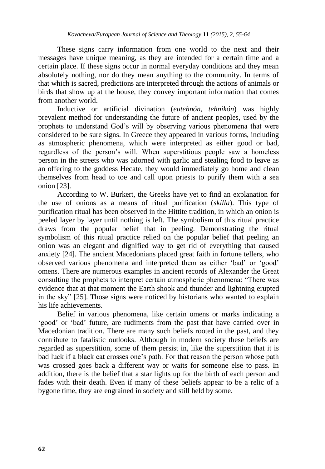These signs carry information from one world to the next and their messages have unique meaning, as they are intended for a certain time and a certain place. If these signs occur in normal everyday conditions and they mean absolutely nothing, nor do they mean anything to the community. In terms of that which is sacred, predictions are interpreted through the actions of animals or birds that show up at the house, they convey important information that comes from another world.

Inductive or artificial divination (*eutehnón, tehnikón*) was highly prevalent method for understanding the future of ancient peoples, used by the prophets to understand God"s will by observing various phenomena that were considered to be sure signs. In Greece they appeared in various forms, including as atmospheric phenomena, which were interpreted as either good or bad, regardless of the person"s will. When superstitious people saw a homeless person in the streets who was adorned with garlic and stealing food to leave as an offering to the goddess Hecate, they would immediately go home and clean themselves from head to toe and call upon priests to purify them with a sea onion [23].

According to W. Burkert, the Greeks have yet to find an explanation for the use of onions as a means of ritual purification (*skilla*). This type of purification ritual has been observed in the Hittite tradition, in which an onion is peeled layer by layer until nothing is left. The symbolism of this ritual practice draws from the popular belief that in peeling. Demonstrating the ritual symbolism of this ritual practice relied on the popular belief that peeling an onion was an elegant and dignified way to get rid of everything that caused anxiety [24]. The ancient Macedonians placed great faith in fortune tellers, who observed various phenomena and interpreted them as either "bad" or "good" omens. There are numerous examples in ancient records of Alexander the Great consulting the prophets to interpret certain atmospheric phenomena: "There was evidence that at that moment the Earth shook and thunder and lightning erupted in the sky" [25]. Those signs were noticed by historians who wanted to explain his life achievements.

Belief in various phenomena, like certain omens or marks indicating a 'good' or 'bad' future, are rudiments from the past that have carried over in Macedonian tradition. There are many such beliefs rooted in the past, and they contribute to fatalistic outlooks. Although in modern society these beliefs are regarded as superstition, some of them persist in, like the superstition that it is bad luck if a black cat crosses one's path. For that reason the person whose path was crossed goes back a different way or waits for someone else to pass. In addition, there is the belief that a star lights up for the birth of each person and fades with their death. Even if many of these beliefs appear to be a relic of a bygone time, they are engrained in society and still held by some.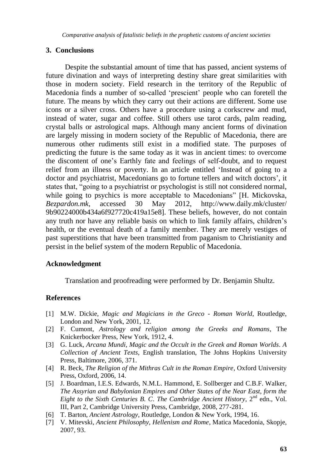*Comparative analysis of fatalistic beliefs in the prophetic customs of ancient societies* 

#### **3. Conclusions**

Despite the substantial amount of time that has passed, ancient systems of future divination and ways of interpreting destiny share great similarities with those in modern society. Field research in the territory of the Republic of Macedonia finds a number of so-called "prescient" people who can foretell the future. The means by which they carry out their actions are different. Some use icons or a silver cross. Others have a procedure using a corkscrew and mud, instead of water, sugar and coffee. Still others use tarot cards, palm reading, crystal balls or astrological maps. Although many ancient forms of divination are largely missing in modern society of the Republic of Macedonia, there are numerous other rudiments still exist in a modified state. The purposes of predicting the future is the same today as it was in ancient times: to overcome the discontent of one"s Earthly fate and feelings of self-doubt, and to request relief from an illness or poverty. In an article entitled "Instead of going to a doctor and psychiatrist, Macedonians go to fortune tellers and witch doctors", it states that, "going to a psychiatrist or psychologist is still not considered normal, while going to psychics is more acceptable to Macedonians" [H. Mickovska, *Bezpardon.mk*, accessed 30 May 2012, http://www.daily.mk/cluster/ 9b90224000b434a6f927720c419a15e8]. These beliefs, however, do not contain any truth nor have any reliable basis on which to link family affairs, children"s health, or the eventual death of a family member. They are merely vestiges of past superstitions that have been transmitted from paganism to Christianity and persist in the belief system of the modern Republic of Macedonia.

# **Acknowledgment**

Translation and proofreading were performed by Dr. Benjamin Shultz.

# **References**

- [1] M.W. Dickie, *Magic and Magicians in the Greco - Roman World*, Routledge, London and New York, 2001, 12.
- [2] F. Cumont, *Astrology and religion among the Greeks and Romans*, The Knickerbocker Press, New York, 1912, 4.
- [3] G. Luck, *Arcana Mundi, Magic and the Occult in the Greek and Roman Worlds. A Collection of Ancient Texts*, English translation, The Johns Hopkins University Press, Baltimore, 2006, 371.
- [4] R. Beck, *The Religion of the Mithras Cult in the Roman Empire*, Oxford University Press, Oxford, 2006, 14.
- [5] J. Boardman, I.E.S. Edwards, N.M.L. Hammond, E. Sollberger and C.B.F. Walker, *The Assyrian and Babylonian Empires and Other States of the Near East, form the Eight to the Sixth Centuries B. C*. *The Cambridge Ancient History*, 2 nd edn., Vol. III, Part 2, Cambridge University Press, Cambridge, 2008, 277-281.
- [6] T. Barton, *Ancient Astrology*, Routledge, London & New York, 1994, 16.
- [7] V. Mitevski, *Ancient Philosophy, Hellenism and Rome*, Matica Macedonia, Skopje, 2007, 93.